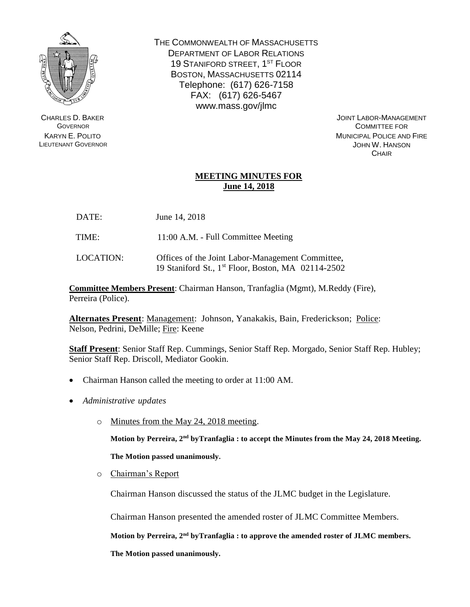

CHARLES D. BAKER **GOVERNOR** KARYN E. POLITO LIEUTENANT GOVERNOR THE COMMONWEALTH OF MASSACHUSETTS DEPARTMENT OF LABOR RELATIONS 19 STANIFORD STREET, 1<sup>ST</sup> FLOOR BOSTON, MASSACHUSETTS 02114 Telephone: (617) 626-7158 FAX: (617) 626-5467 www.mass.gov/jlmc

> JOINT LABOR-MANAGEMENT COMMITTEE FOR MUNICIPAL POLICE AND FIRE JOHN W. HANSON **CHAIR**

## **MEETING MINUTES FOR June 14, 2018**

- DATE: June 14, 2018
- TIME: 11:00 A.M. Full Committee Meeting
- LOCATION: Offices of the Joint Labor-Management Committee, 19 Staniford St., 1 st Floor, Boston, MA 02114-2502

**Committee Members Present**: Chairman Hanson, Tranfaglia (Mgmt), M.Reddy (Fire), Perreira (Police).

**Alternates Present**: Management: Johnson, Yanakakis, Bain, Frederickson; Police: Nelson, Pedrini, DeMille; Fire: Keene

**Staff Present**: Senior Staff Rep. Cummings, Senior Staff Rep. Morgado, Senior Staff Rep. Hubley; Senior Staff Rep. Driscoll, Mediator Gookin.

- Chairman Hanson called the meeting to order at 11:00 AM.
- *Administrative updates*
	- o Minutes from the May 24, 2018 meeting.

Motion by Perreira, 2<sup>nd</sup> byTranfaglia : to accept the Minutes from the May 24, 2018 Meeting.

**The Motion passed unanimously.**

o Chairman's Report

Chairman Hanson discussed the status of the JLMC budget in the Legislature.

Chairman Hanson presented the amended roster of JLMC Committee Members.

**Motion by Perreira, 2 nd byTranfaglia : to approve the amended roster of JLMC members.**

**The Motion passed unanimously.**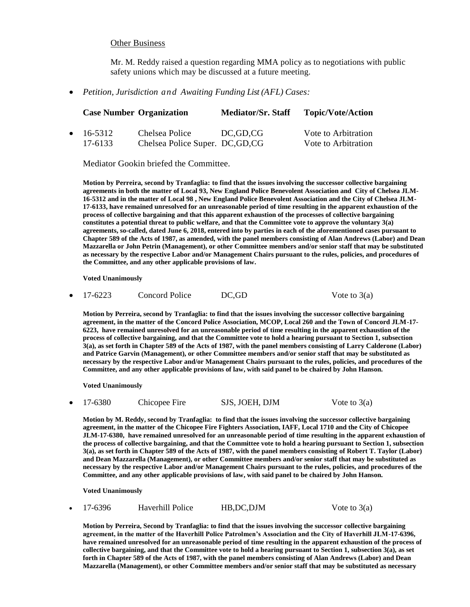## Other Business

Mr. M. Reddy raised a question regarding MMA policy as to negotiations with public safety unions which may be discussed at a future meeting.

*Petition, Jurisdiction and Awaiting Funding List (AFL) Cases:*

|                   | <b>Case Number Organization</b>  | <b>Mediator/Sr. Staff</b> | <b>Topic/Vote/Action</b> |
|-------------------|----------------------------------|---------------------------|--------------------------|
| $\bullet$ 16-5312 | Chelsea Police                   | DC.GD.CG                  | Vote to Arbitration      |
| 17-6133           | Chelsea Police Super. DC, GD, CG |                           | Vote to Arbitration      |

Mediator Gookin briefed the Committee.

**Motion by Perreira, second by Tranfaglia: to find that the issues involving the successor collective bargaining agreements in both the matter of Local 93, New England Police Benevolent Association and City of Chelsea JLM-16-5312 and in the matter of Local 98 , New England Police Benevolent Association and the City of Chelsea JLM-17-6133, have remained unresolved for an unreasonable period of time resulting in the apparent exhaustion of the process of collective bargaining and that this apparent exhaustion of the processes of collective bargaining constitutes a potential threat to public welfare, and that the Committee vote to approve the voluntary 3(a) agreements, so-called, dated June 6, 2018, entered into by parties in each of the aforementioned cases pursuant to Chapter 589 of the Acts of 1987, as amended, with the panel members consisting of Alan Andrews (Labor) and Dean Mazzarella or John Petrin (Management), or other Committee members and/or senior staff that may be substituted as necessary by the respective Labor and/or Management Chairs pursuant to the rules, policies, and procedures of the Committee, and any other applicable provisions of law.**

**Voted Unanimously**

17-6223 Concord Police DC,GD Vote to 3(a)

**Motion by Perreira, second by Tranfaglia: to find that the issues involving the successor collective bargaining agreement, in the matter of the Concord Police Association, MCOP, Local 260 and the Town of Concord JLM-17- 6223, have remained unresolved for an unreasonable period of time resulting in the apparent exhaustion of the process of collective bargaining, and that the Committee vote to hold a hearing pursuant to Section 1, subsection 3(a), as set forth in Chapter 589 of the Acts of 1987, with the panel members consisting of Larry Calderone (Labor) and Patrice Garvin (Management), or other Committee members and/or senior staff that may be substituted as necessary by the respective Labor and/or Management Chairs pursuant to the rules, policies, and procedures of the Committee, and any other applicable provisions of law, with said panel to be chaired by John Hanson.**

**Voted Unanimously**

17-6380 Chicopee Fire SJS, JOEH, DJM Vote to 3(a)

**Motion by M. Reddy, second by Tranfaglia: to find that the issues involving the successor collective bargaining agreement, in the matter of the Chicopee Fire Fighters Association, IAFF, Local 1710 and the City of Chicopee JLM-17-6380, have remained unresolved for an unreasonable period of time resulting in the apparent exhaustion of the process of collective bargaining, and that the Committee vote to hold a hearing pursuant to Section 1, subsection 3(a), as set forth in Chapter 589 of the Acts of 1987, with the panel members consisting of Robert T. Taylor (Labor) and Dean Mazzarella (Management), or other Committee members and/or senior staff that may be substituted as necessary by the respective Labor and/or Management Chairs pursuant to the rules, policies, and procedures of the Committee, and any other applicable provisions of law, with said panel to be chaired by John Hanson.**

**Voted Unanimously**

17-6396 Haverhill Police HB,DC,DJM Vote to 3(a)

**Motion by Perreira, Second by Tranfaglia: to find that the issues involving the successor collective bargaining agreement, in the matter of the Haverhill Police Patrolmen's Association and the City of Haverhill JLM-17-6396, have remained unresolved for an unreasonable period of time resulting in the apparent exhaustion of the process of collective bargaining, and that the Committee vote to hold a hearing pursuant to Section 1, subsection 3(a), as set forth in Chapter 589 of the Acts of 1987, with the panel members consisting of Alan Andrews (Labor) and Dean Mazzarella (Management), or other Committee members and/or senior staff that may be substituted as necessary**